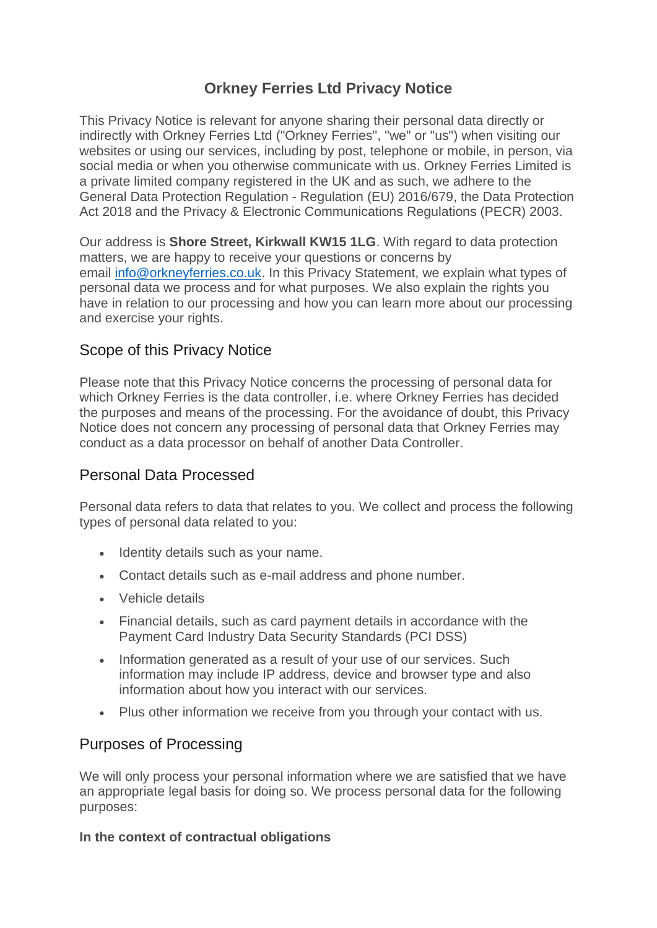# **Orkney Ferries Ltd Privacy Notice**

This Privacy Notice is relevant for anyone sharing their personal data directly or indirectly with Orkney Ferries Ltd ("Orkney Ferries", "we" or "us") when visiting our websites or using our services, including by post, telephone or mobile, in person, via social media or when you otherwise communicate with us. Orkney Ferries Limited is a private limited company registered in the UK and as such, we adhere to the General Data Protection Regulation - Regulation (EU) 2016/679, the Data Protection Act 2018 and the Privacy & Electronic Communications Regulations (PECR) 2003.

Our address is **Shore Street, Kirkwall KW15 1LG**. With regard to data protection matters, we are happy to receive your questions or concerns by email [info@orkneyferries.co.uk.](mailto:info@orkneyferries.co.uk) In this Privacy Statement, we explain what types of personal data we process and for what purposes. We also explain the rights you have in relation to our processing and how you can learn more about our processing and exercise your rights.

# Scope of this Privacy Notice

Please note that this Privacy Notice concerns the processing of personal data for which Orkney Ferries is the data controller, i.e. where Orkney Ferries has decided the purposes and means of the processing. For the avoidance of doubt, this Privacy Notice does not concern any processing of personal data that Orkney Ferries may conduct as a data processor on behalf of another Data Controller.

# Personal Data Processed

Personal data refers to data that relates to you. We collect and process the following types of personal data related to you:

- Identity details such as your name.
- Contact details such as e-mail address and phone number.
- Vehicle details
- Financial details, such as card payment details in accordance with the Payment Card Industry Data Security Standards (PCI DSS)
- Information generated as a result of your use of our services. Such information may include IP address, device and browser type and also information about how you interact with our services.
- Plus other information we receive from you through your contact with us.

# Purposes of Processing

We will only process your personal information where we are satisfied that we have an appropriate legal basis for doing so. We process personal data for the following purposes:

### **In the context of contractual obligations**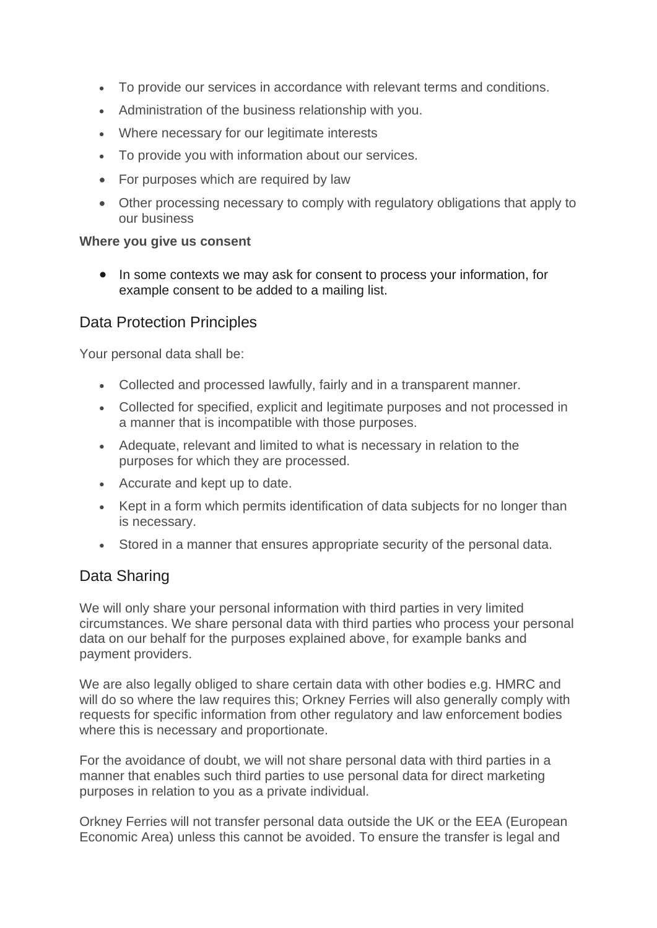- To provide our services in accordance with relevant terms and conditions.
- Administration of the business relationship with you.
- Where necessary for our legitimate interests
- To provide you with information about our services.
- For purposes which are required by law
- Other processing necessary to comply with regulatory obligations that apply to our business

### **Where you give us consent**

• In some contexts we may ask for consent to process your information, for example consent to be added to a mailing list.

### Data Protection Principles

Your personal data shall be:

- Collected and processed lawfully, fairly and in a transparent manner.
- Collected for specified, explicit and legitimate purposes and not processed in a manner that is incompatible with those purposes.
- Adequate, relevant and limited to what is necessary in relation to the purposes for which they are processed.
- Accurate and kept up to date.
- Kept in a form which permits identification of data subiects for no longer than is necessary.
- Stored in a manner that ensures appropriate security of the personal data.

# Data Sharing

We will only share your personal information with third parties in very limited circumstances. We share personal data with third parties who process your personal data on our behalf for the purposes explained above, for example banks and payment providers.

We are also legally obliged to share certain data with other bodies e.g. HMRC and will do so where the law requires this; Orkney Ferries will also generally comply with requests for specific information from other regulatory and law enforcement bodies where this is necessary and proportionate.

For the avoidance of doubt, we will not share personal data with third parties in a manner that enables such third parties to use personal data for direct marketing purposes in relation to you as a private individual.

Orkney Ferries will not transfer personal data outside the UK or the EEA (European Economic Area) unless this cannot be avoided. To ensure the transfer is legal and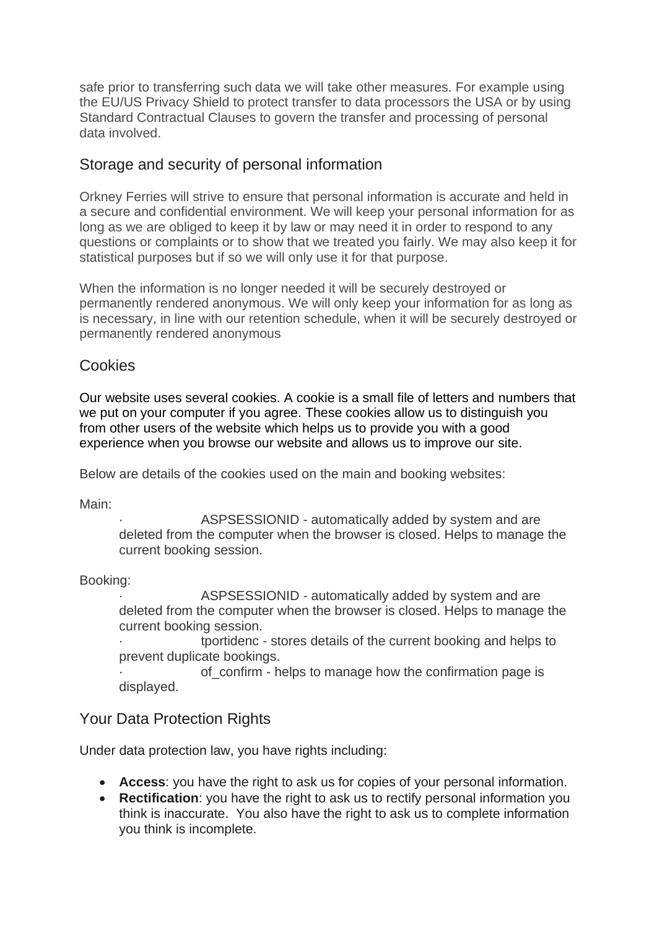safe prior to transferring such data we will take other measures. For example using the EU/US Privacy Shield to protect transfer to data processors the USA or by using Standard Contractual Clauses to govern the transfer and processing of personal data involved.

# Storage and security of personal information

Orkney Ferries will strive to ensure that personal information is accurate and held in a secure and confidential environment. We will keep your personal information for as long as we are obliged to keep it by law or may need it in order to respond to any questions or complaints or to show that we treated you fairly. We may also keep it for statistical purposes but if so we will only use it for that purpose.

When the information is no longer needed it will be securely destroyed or permanently rendered anonymous. We will only keep your information for as long as is necessary, in line with our retention schedule, when it will be securely destroyed or permanently rendered anonymous

# Cookies

Our website uses several cookies. A cookie is a small file of letters and numbers that we put on your computer if you agree. These cookies allow us to distinguish you from other users of the website which helps us to provide you with a good experience when you browse our website and allows us to improve our site.

Below are details of the cookies used on the main and booking websites:

Main:

ASPSESSIONID - automatically added by system and are deleted from the computer when the browser is closed. Helps to manage the current booking session.

Booking:

ASPSESSIONID - automatically added by system and are deleted from the computer when the browser is closed. Helps to manage the current booking session.

· tportidenc - stores details of the current booking and helps to prevent duplicate bookings.

of confirm - helps to manage how the confirmation page is displayed.

# Your Data Protection Rights

Under data protection law, you have rights including:

- **Access**: you have the right to ask us for copies of your personal information.
- **Rectification**: you have the right to ask us to rectify personal information you think is inaccurate. You also have the right to ask us to complete information you think is incomplete.